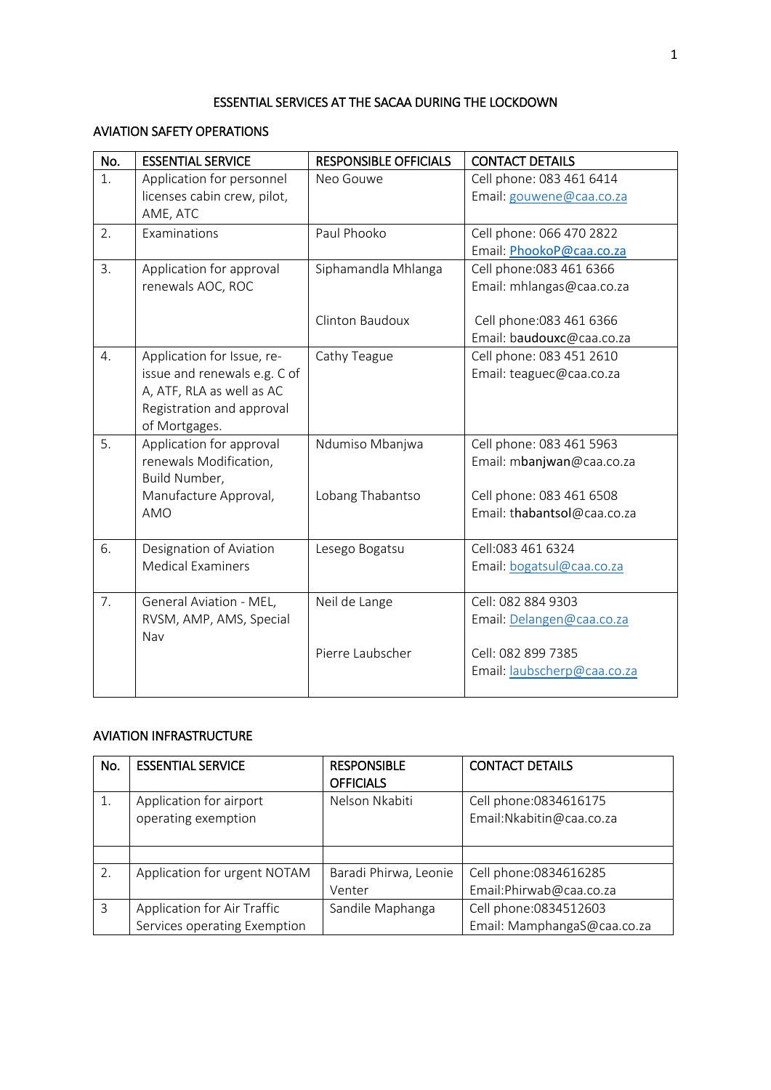# ESSENTIAL SERVICES AT THE SACAA DURING THE LOCKDOWN

## AVIATION SAFETY OPERATIONS

| No. | <b>ESSENTIAL SERVICE</b>     | <b>RESPONSIBLE OFFICIALS</b> | <b>CONTACT DETAILS</b>      |
|-----|------------------------------|------------------------------|-----------------------------|
| 1.  | Application for personnel    | Neo Gouwe                    | Cell phone: 083 461 6414    |
|     | licenses cabin crew, pilot,  |                              | Email: gouwene@caa.co.za    |
|     | AME, ATC                     |                              |                             |
| 2.  | Examinations                 | Paul Phooko                  | Cell phone: 066 470 2822    |
|     |                              |                              | Email: PhookoP@caa.co.za    |
| 3.  | Application for approval     | Siphamandla Mhlanga          | Cell phone: 083 461 6366    |
|     | renewals AOC, ROC            |                              | Email: mhlangas@caa.co.za   |
|     |                              |                              |                             |
|     |                              | <b>Clinton Baudoux</b>       | Cell phone: 083 461 6366    |
|     |                              |                              | Email: baudouxc@caa.co.za   |
| 4.  | Application for Issue, re-   | Cathy Teague                 | Cell phone: 083 451 2610    |
|     | issue and renewals e.g. C of |                              | Email: teaguec@caa.co.za    |
|     | A, ATF, RLA as well as AC    |                              |                             |
|     | Registration and approval    |                              |                             |
|     | of Mortgages.                |                              |                             |
| 5.  | Application for approval     | Ndumiso Mbanjwa              | Cell phone: 083 461 5963    |
|     | renewals Modification,       |                              | Email: mbanjwan@caa.co.za   |
|     | Build Number,                |                              |                             |
|     | Manufacture Approval,        | Lobang Thabantso             | Cell phone: 083 461 6508    |
|     | AMO                          |                              | Email: thabantsol@caa.co.za |
|     |                              |                              |                             |
| 6.  | Designation of Aviation      | Lesego Bogatsu               | Cell:083 461 6324           |
|     | <b>Medical Examiners</b>     |                              | Email: bogatsul@caa.co.za   |
| 7.  | General Aviation - MEL,      | Neil de Lange                | Cell: 082 884 9303          |
|     | RVSM, AMP, AMS, Special      |                              | Email: Delangen@caa.co.za   |
|     | Nav                          |                              |                             |
|     |                              | Pierre Laubscher             | Cell: 082 899 7385          |
|     |                              |                              | Email: laubscherp@caa.co.za |
|     |                              |                              |                             |

#### AVIATION INFRASTRUCTURE

| No. | <b>ESSENTIAL SERVICE</b>     | <b>RESPONSIBLE</b>    | <b>CONTACT DETAILS</b>      |
|-----|------------------------------|-----------------------|-----------------------------|
|     |                              | <b>OFFICIALS</b>      |                             |
|     | Application for airport      | Nelson Nkabiti        | Cell phone: 0834616175      |
|     | operating exemption          |                       | Email: Nkabitin@caa.co.za   |
|     |                              |                       |                             |
|     |                              |                       |                             |
| 2.  | Application for urgent NOTAM | Baradi Phirwa, Leonie | Cell phone: 0834616285      |
|     |                              | Venter                | Email: Phirwab@caa.co.za    |
| 3   | Application for Air Traffic  | Sandile Maphanga      | Cell phone: 0834512603      |
|     | Services operating Exemption |                       | Email: MamphangaS@caa.co.za |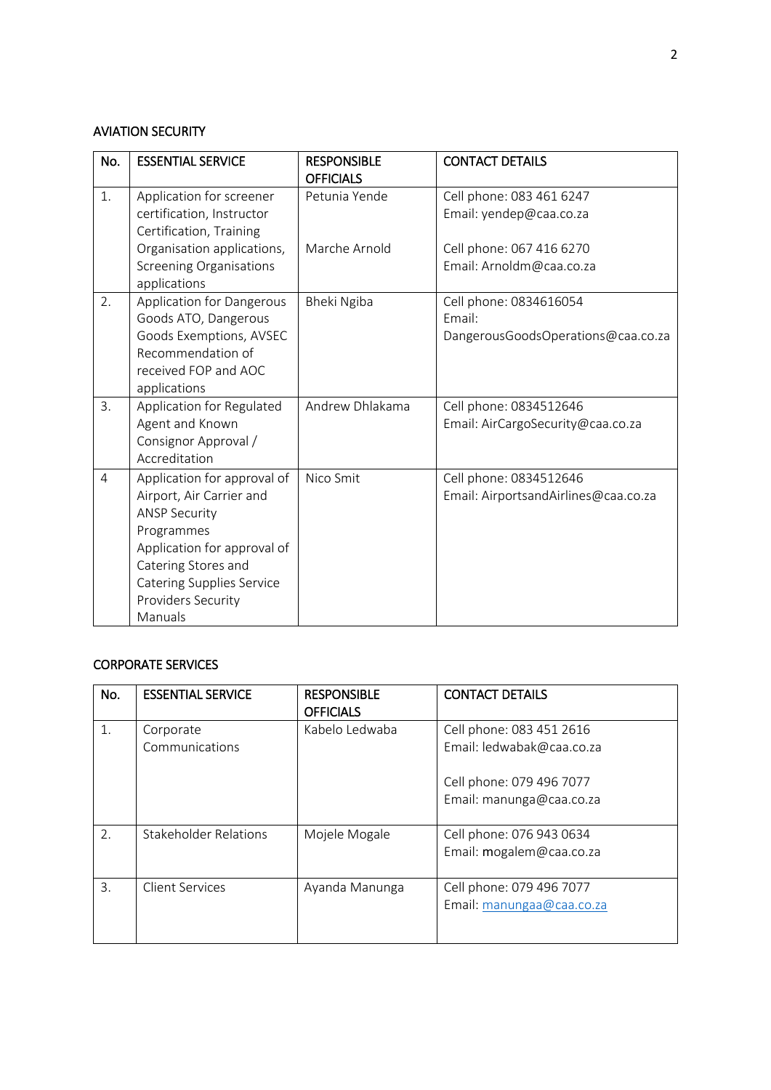#### AVIATION SECURITY

| No.            | <b>ESSENTIAL SERVICE</b>                             | <b>RESPONSIBLE</b><br><b>OFFICIALS</b> | <b>CONTACT DETAILS</b>                       |
|----------------|------------------------------------------------------|----------------------------------------|----------------------------------------------|
| 1.             | Application for screener                             | Petunia Yende                          | Cell phone: 083 461 6247                     |
|                | certification, Instructor<br>Certification, Training |                                        | Email: yendep@caa.co.za                      |
|                | Organisation applications,                           | Marche Arnold                          | Cell phone: 067 416 6270                     |
|                | <b>Screening Organisations</b><br>applications       |                                        | Email: Arnoldm@caa.co.za                     |
| 2.             | <b>Application for Dangerous</b>                     | Bheki Ngiba                            | Cell phone: 0834616054                       |
|                | Goods ATO, Dangerous<br>Goods Exemptions, AVSEC      |                                        | Email:<br>DangerousGoodsOperations@caa.co.za |
|                | Recommendation of                                    |                                        |                                              |
|                | received FOP and AOC                                 |                                        |                                              |
|                | applications                                         |                                        |                                              |
| 3.             | Application for Regulated                            | Andrew Dhlakama                        | Cell phone: 0834512646                       |
|                | Agent and Known<br>Consignor Approval /              |                                        | Email: AirCargoSecurity@caa.co.za            |
|                | Accreditation                                        |                                        |                                              |
| $\overline{4}$ | Application for approval of                          | Nico Smit                              | Cell phone: 0834512646                       |
|                | Airport, Air Carrier and                             |                                        | Email: AirportsandAirlines@caa.co.za         |
|                | <b>ANSP Security</b>                                 |                                        |                                              |
|                | Programmes<br>Application for approval of            |                                        |                                              |
|                | Catering Stores and                                  |                                        |                                              |
|                | <b>Catering Supplies Service</b>                     |                                        |                                              |
|                | Providers Security                                   |                                        |                                              |
|                | Manuals                                              |                                        |                                              |

### CORPORATE SERVICES

| No. | <b>ESSENTIAL SERVICE</b> | <b>RESPONSIBLE</b><br><b>OFFICIALS</b> | <b>CONTACT DETAILS</b>    |
|-----|--------------------------|----------------------------------------|---------------------------|
| 1.  | Corporate                | Kabelo Ledwaba                         | Cell phone: 083 451 2616  |
|     | Communications           |                                        | Email: ledwabak@caa.co.za |
|     |                          |                                        | Cell phone: 079 496 7077  |
|     |                          |                                        | Email: manunga@caa.co.za  |
|     |                          |                                        |                           |
| 2.  | Stakeholder Relations    | Mojele Mogale                          | Cell phone: 076 943 0634  |
|     |                          |                                        | Email: mogalem@caa.co.za  |
|     |                          |                                        |                           |
| 3.  | Client Services          | Ayanda Manunga                         | Cell phone: 079 496 7077  |
|     |                          |                                        | Email: manungaa@caa.co.za |
|     |                          |                                        |                           |